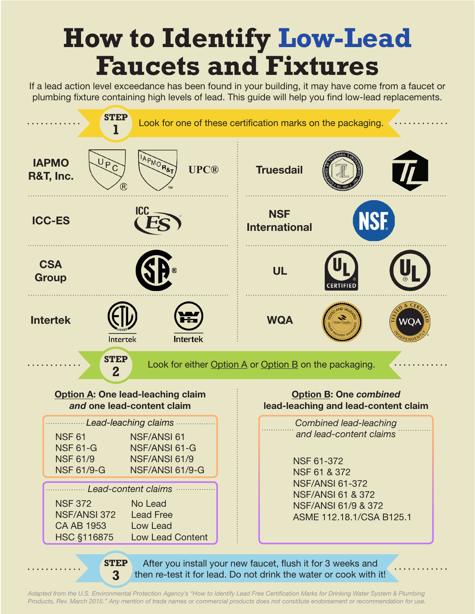## **How to Identify Low-Lead Faucets and Fixtures**

If a lead action level exceedance has been found in your building, it may have come from a faucet or plumbing fixture containing high levels of lead. This guide will help you find low-lead replacements.



*Adapted from the U.S. Environmental Protection Agency's "How to Identify Lead Free Certification Marks for Drinking Water System & Plumbing Products, Rev. March 2015." Any mention of trade names or commercial products does not constitute endorsement or recommendation for use.*